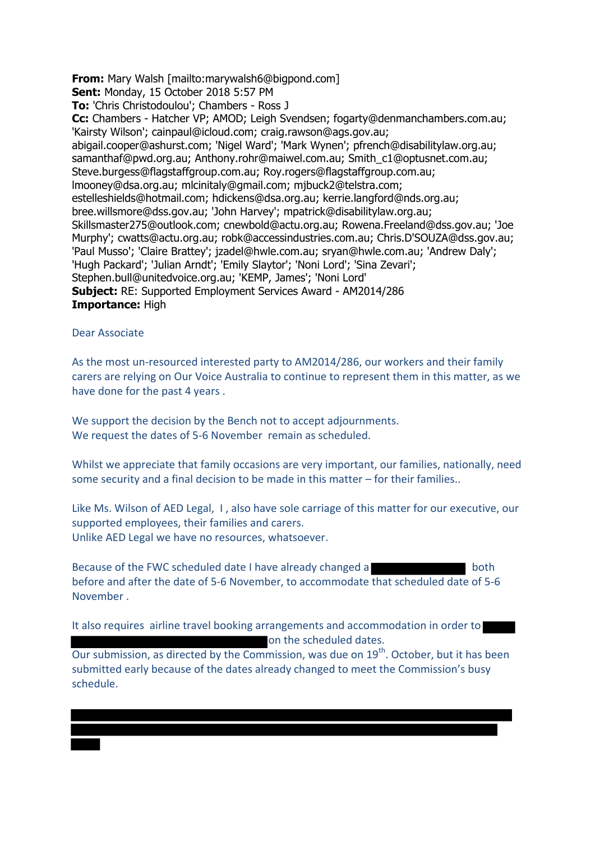**From:** Mary Walsh [mailto:marywalsh6@bigpond.com]

**Sent:** Monday, 15 October 2018 5:57 PM

**To:** 'Chris Christodoulou'; Chambers - Ross J

**Cc:** Chambers - Hatcher VP; AMOD; Leigh Svendsen; fogarty@denmanchambers.com.au; 'Kairsty Wilson'; cainpaul@icloud.com; craig.rawson@ags.gov.au; abigail.cooper@ashurst.com; 'Nigel Ward'; 'Mark Wynen'; pfrench@disabilitylaw.org.au; samanthaf@pwd.org.au; Anthony.rohr@maiwel.com.au; Smith\_c1@optusnet.com.au; Steve.burgess@flagstaffgroup.com.au; Roy.rogers@flagstaffgroup.com.au; lmooney@dsa.org.au; mlcinitaly@gmail.com; mjbuck2@telstra.com; estelleshields@hotmail.com; hdickens@dsa.org.au; kerrie.langford@nds.org.au; bree.willsmore@dss.gov.au; 'John Harvey'; mpatrick@disabilitylaw.org.au; Skillsmaster275@outlook.com; cnewbold@actu.org.au; Rowena.Freeland@dss.gov.au; 'Joe Murphy'; cwatts@actu.org.au; robk@accessindustries.com.au; Chris.D'SOUZA@dss.gov.au; 'Paul Musso'; 'Claire Brattey'; jzadel@hwle.com.au; sryan@hwle.com.au; 'Andrew Daly'; 'Hugh Packard'; 'Julian Arndt'; 'Emily Slaytor'; 'Noni Lord'; 'Sina Zevari'; Stephen.bull@unitedvoice.org.au; 'KEMP, James'; 'Noni Lord' **Subject:** RE: Supported Employment Services Award - AM2014/286 **Importance:** High

## Dear Associate

As the most un-resourced interested party to AM2014/286, our workers and their family carers are relying on Our Voice Australia to continue to represent them in this matter, as we have done for the past 4 years .

We support the decision by the Bench not to accept adjournments. We request the dates of 5-6 November remain as scheduled.

Whilst we appreciate that family occasions are very important, our families, nationally, need some security and a final decision to be made in this matter – for their families..

Like Ms. Wilson of AED Legal, I , also have sole carriage of this matter for our executive, our supported employees, their families and carers. Unlike AED Legal we have no resources, whatsoever.

Because of the FWC scheduled date I have already changed a before and after the date of 5-6 November, to accommodate that scheduled date of 5-6 November .

It also requires airline travel booking arrangements and accommodation in order to on the scheduled dates.

Our submission, as directed by the Commission, was due on 19<sup>th</sup>. October, but it has been submitted early because of the dates already changed to meet the Commission's busy schedule.